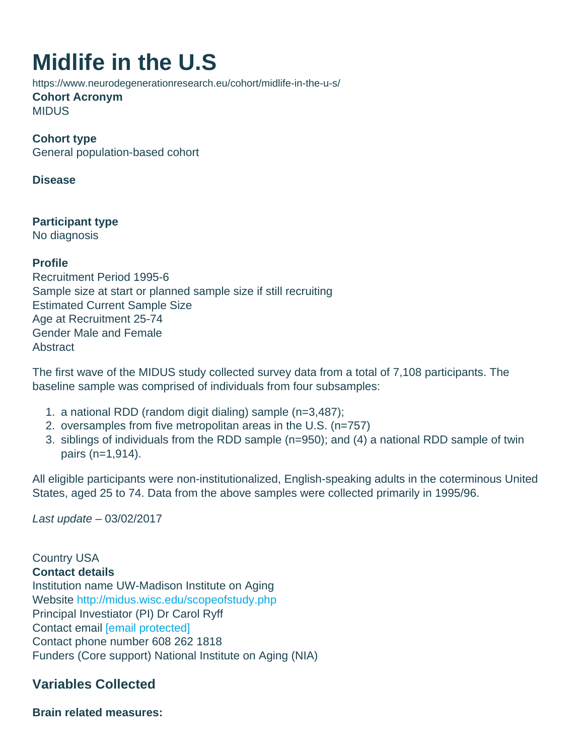# Midlife in the U.S

https://www.neurodegenerationresearch.eu/cohort/midlife-in-the-u-s/ Cohort Acronym MIDUS

Cohort type General population-based cohort

Disease

Participant type No diagnosis

Profile Recruitment Period 1995-6 Sample size at start or planned sample size if still recruiting Estimated Current Sample Size Age at Recruitment 25-74 Gender Male and Female **Abstract** 

The first wave of the MIDUS study collected survey data from a total of 7,108 participants. The baseline sample was comprised of individuals from four subsamples:

- 1. a national RDD (random digit dialing) sample (n=3,487);
- 2. oversamples from five metropolitan areas in the U.S. (n=757)
- 3. siblings of individuals from the RDD sample (n=950); and (4) a national RDD sample of twin pairs (n=1,914).

All eligible participants were non-institutionalized, English-speaking adults in the coterminous United States, aged 25 to 74. Data from the above samples were collected primarily in 1995/96.

Last update – 03/02/2017

Country USA Contact details Institution name UW-Madison Institute on Aging Website <http://midus.wisc.edu/scopeofstudy.php> Principal Investiator (PI) Dr Carol Ryff Contact email [\[email protected\]](/cdn-cgi/l/email-protection#96f4e4f7f2faf3e4d6e1ffe5f5b8f3f2e3) Contact phone number 608 262 1818 Funders (Core support) National Institute on Aging (NIA)

Variables Collected

Brain related measures: